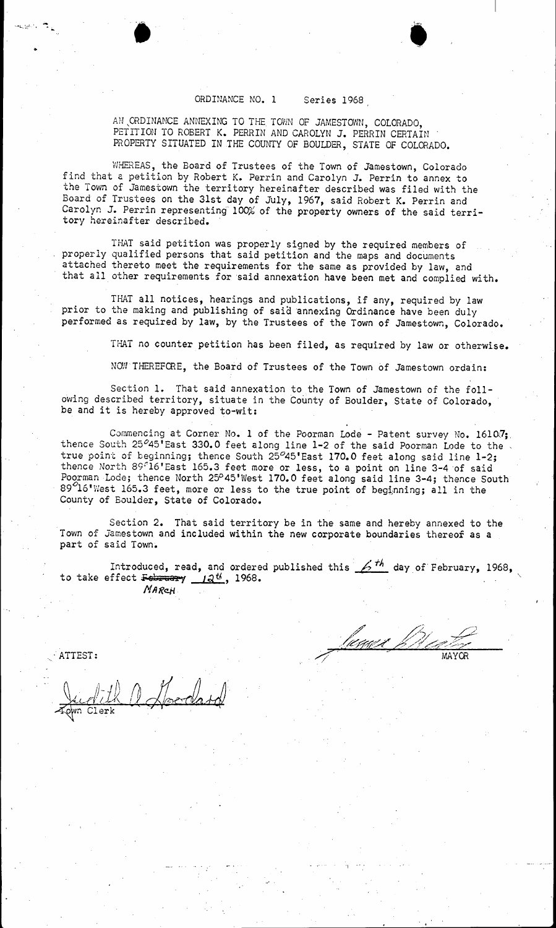AN ORDINANCE ANNEXING TO THE TOWN OF JAMESTOWN, COLORADO, PETITION TO ROBERT K. PERRIN AND CAROLYN J. PERRIN CERTAIN PROPERTY SITUATED IN THE COUNTY OF BOULDER, STATE OF COLORADO.

WHEREAS, the Board of Trustees of the Town of Jamestown, Colorado find that a petition by Robert K. Perrin and Carolyn J. Perrin to annex to the Town of Jamestown the territory hereinafter described was filed with the Board of Trustees on the 31st day of July, 1967, said Robert K. Perrin and Carolyn J. Perrin representing 100% of the property owners of the said territory hereinafter described.

THAT said petition was properly signed by the required members of properly qualified persons that said petition and the maps and documents attached thereto meet the requirements for the same as provided by law, and that all other requirements for said annexation have been met and complied with.

THAT all notices, hearings and publications, if any, required by law prior to the making and *publishing* of saia annexing Ordinance have been duly performed as required by law, by the Trustees of the Town of Jamestown, Colorado.

THAT no counter petition has been filed, as required by law or otherwise.

NOWTHEREFCRE, the Board of Trustees of the Town of Jamestown ordain:

Section 1. That said annexation to the Town of Jamestown of the following described territory, situate in the County of Boulder, State of Colorado, be and it is hereby approved to-wit:

Commencing at Corner No. 1 of the Poorman Lode - Patent survey No. 16107; thence South 25°45'East 330.0 feet along line 1-2 of the said Poorman Lode to the thence South 25 43 East 330.0 reet along line 1-2 of the said Poorman Lode to the<br>true point of beginning; thence South 25<sup>0</sup>45'East 170.0 feet along said line 1-2; thence North 89 $^{\circ}$ 16'East 165.3 feet more or less, to a point on line 3-4 of said Poorman Lode; thence North 2545'West 170.0 feet along said line 3-4; thence South Poorman Lode; thence North 25 45 west 170.0 reet along said line 3-4; thence So<br>89<sup>0</sup>16 West 165.3 feet, more or less to the true point of beginning; all in the County of Boulder, State of Colorado.

Section 2. That said territory be in the same and hereby annexed to the Town of Jamestown and included within the new corporate boundaries thereof as a part of said Town.

Introduced, read, and ordered published this  $\measuredangle^{th}$  day of February, 1968, Introduced, read, and ordered<br>to take effect <del>February</del> 12<sup>th</sup>, 1968.

/: <u>/Weath</u> MAYOR

 $-10$   $M$   $N$ <u>برياغ</u> <u>بەل</u> Clerk *<sup>I</sup>*

ATTEST:

العبر<br>المعالمين التي التي التي التي التي التي تعالى التي تعالى التي تعالى التي تعالى التي تعالى التي تعالى التي